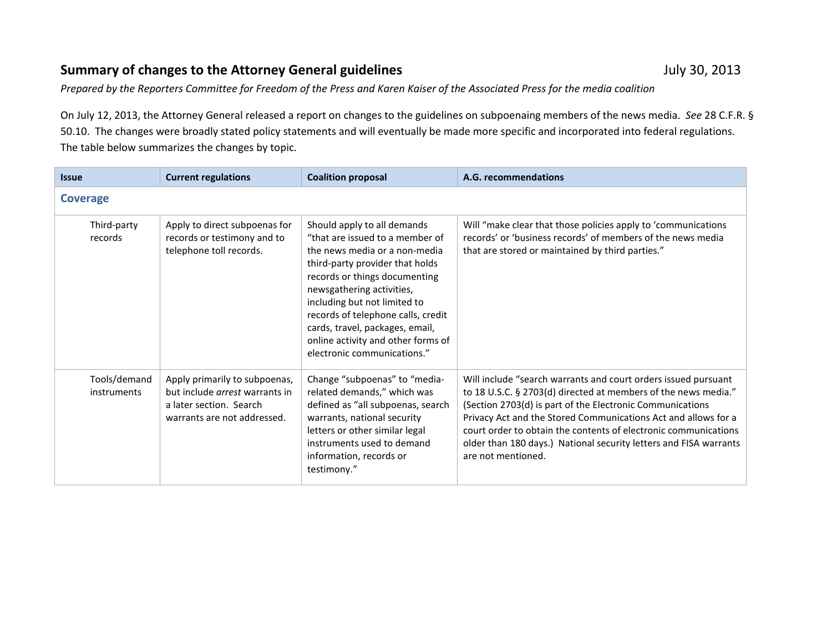## **Summary of changes to the Attorney General guidelines July 30, 2013** July 30, 2013

*Prepared by the Reporters Committee for Freedom of the Press and Karen Kaiser of the Associated Press for the media coalition*

On July 12, 2013, the Attorney General released a report on changes to the guidelines on subpoenaing members of the news media. *See* 28 C.F.R. § 50.10. The changes were broadly stated policy statements and will eventually be made more specific and incorporated into federal regulations. The table below summarizes the changes by topic.

| <b>Issue</b>                | <b>Current regulations</b>                                                                                                       | <b>Coalition proposal</b>                                                                                                                                                                                                                                                                                                                                                      | A.G. recommendations                                                                                                                                                                                                                                                                                                                                                                                                          |  |
|-----------------------------|----------------------------------------------------------------------------------------------------------------------------------|--------------------------------------------------------------------------------------------------------------------------------------------------------------------------------------------------------------------------------------------------------------------------------------------------------------------------------------------------------------------------------|-------------------------------------------------------------------------------------------------------------------------------------------------------------------------------------------------------------------------------------------------------------------------------------------------------------------------------------------------------------------------------------------------------------------------------|--|
| <b>Coverage</b>             |                                                                                                                                  |                                                                                                                                                                                                                                                                                                                                                                                |                                                                                                                                                                                                                                                                                                                                                                                                                               |  |
| Third-party<br>records      | Apply to direct subpoenas for<br>records or testimony and to<br>telephone toll records.                                          | Should apply to all demands<br>"that are issued to a member of<br>the news media or a non-media<br>third-party provider that holds<br>records or things documenting<br>newsgathering activities,<br>including but not limited to<br>records of telephone calls, credit<br>cards, travel, packages, email,<br>online activity and other forms of<br>electronic communications." | Will "make clear that those policies apply to 'communications<br>records' or 'business records' of members of the news media<br>that are stored or maintained by third parties."                                                                                                                                                                                                                                              |  |
| Tools/demand<br>instruments | Apply primarily to subpoenas,<br>but include <i>arrest</i> warrants in<br>a later section. Search<br>warrants are not addressed. | Change "subpoenas" to "media-<br>related demands," which was<br>defined as "all subpoenas, search<br>warrants, national security<br>letters or other similar legal<br>instruments used to demand<br>information, records or<br>testimony."                                                                                                                                     | Will include "search warrants and court orders issued pursuant<br>to 18 U.S.C. § 2703(d) directed at members of the news media."<br>(Section 2703(d) is part of the Electronic Communications<br>Privacy Act and the Stored Communications Act and allows for a<br>court order to obtain the contents of electronic communications<br>older than 180 days.) National security letters and FISA warrants<br>are not mentioned. |  |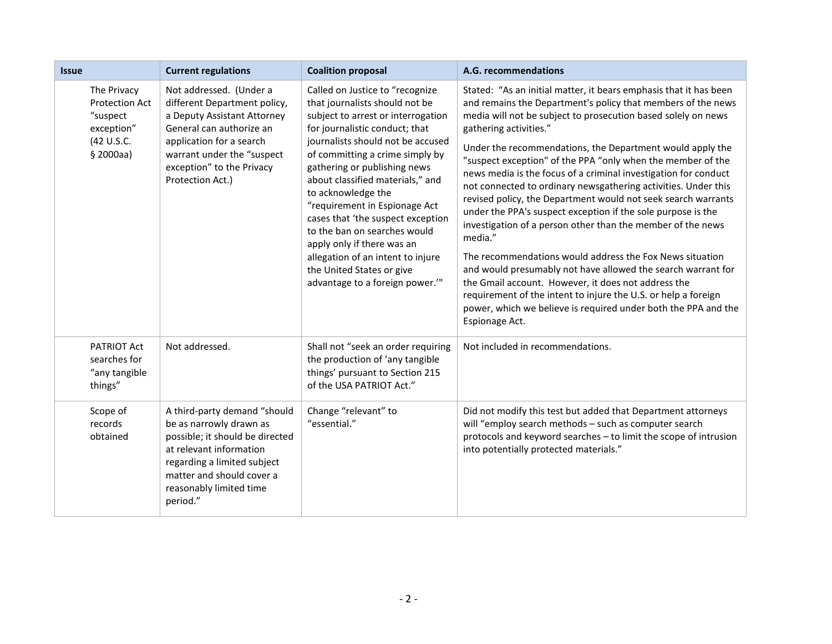| <b>Issue</b>                                                                              | <b>Current regulations</b>                                                                                                                                                                                                    | <b>Coalition proposal</b>                                                                                                                                                                                                                                                                                                                                                                                                                                                                                                                            | A.G. recommendations                                                                                                                                                                                                                                                                                                                                                                                                                                                                                                                                                                                                                                                                                                                                                                                                                                                                                                                                                                                                                              |
|-------------------------------------------------------------------------------------------|-------------------------------------------------------------------------------------------------------------------------------------------------------------------------------------------------------------------------------|------------------------------------------------------------------------------------------------------------------------------------------------------------------------------------------------------------------------------------------------------------------------------------------------------------------------------------------------------------------------------------------------------------------------------------------------------------------------------------------------------------------------------------------------------|---------------------------------------------------------------------------------------------------------------------------------------------------------------------------------------------------------------------------------------------------------------------------------------------------------------------------------------------------------------------------------------------------------------------------------------------------------------------------------------------------------------------------------------------------------------------------------------------------------------------------------------------------------------------------------------------------------------------------------------------------------------------------------------------------------------------------------------------------------------------------------------------------------------------------------------------------------------------------------------------------------------------------------------------------|
| The Privacy<br><b>Protection Act</b><br>"suspect<br>exception"<br>(42 U.S.C.<br>\$2000aa) | Not addressed. (Under a<br>different Department policy,<br>a Deputy Assistant Attorney<br>General can authorize an<br>application for a search<br>warrant under the "suspect<br>exception" to the Privacy<br>Protection Act.) | Called on Justice to "recognize<br>that journalists should not be<br>subject to arrest or interrogation<br>for journalistic conduct; that<br>journalists should not be accused<br>of committing a crime simply by<br>gathering or publishing news<br>about classified materials," and<br>to acknowledge the<br>"requirement in Espionage Act<br>cases that 'the suspect exception<br>to the ban on searches would<br>apply only if there was an<br>allegation of an intent to injure<br>the United States or give<br>advantage to a foreign power."" | Stated: "As an initial matter, it bears emphasis that it has been<br>and remains the Department's policy that members of the news<br>media will not be subject to prosecution based solely on news<br>gathering activities."<br>Under the recommendations, the Department would apply the<br>"suspect exception" of the PPA "only when the member of the<br>news media is the focus of a criminal investigation for conduct<br>not connected to ordinary newsgathering activities. Under this<br>revised policy, the Department would not seek search warrants<br>under the PPA's suspect exception if the sole purpose is the<br>investigation of a person other than the member of the news<br>media."<br>The recommendations would address the Fox News situation<br>and would presumably not have allowed the search warrant for<br>the Gmail account. However, it does not address the<br>requirement of the intent to injure the U.S. or help a foreign<br>power, which we believe is required under both the PPA and the<br>Espionage Act. |
| <b>PATRIOT Act</b><br>searches for<br>"any tangible<br>things"                            | Not addressed.                                                                                                                                                                                                                | Shall not "seek an order requiring<br>the production of 'any tangible<br>things' pursuant to Section 215<br>of the USA PATRIOT Act."                                                                                                                                                                                                                                                                                                                                                                                                                 | Not included in recommendations.                                                                                                                                                                                                                                                                                                                                                                                                                                                                                                                                                                                                                                                                                                                                                                                                                                                                                                                                                                                                                  |
| Scope of<br>records<br>obtained                                                           | A third-party demand "should<br>be as narrowly drawn as<br>possible; it should be directed<br>at relevant information<br>regarding a limited subject<br>matter and should cover a<br>reasonably limited time<br>period."      | Change "relevant" to<br>"essential."                                                                                                                                                                                                                                                                                                                                                                                                                                                                                                                 | Did not modify this test but added that Department attorneys<br>will "employ search methods - such as computer search<br>protocols and keyword searches - to limit the scope of intrusion<br>into potentially protected materials."                                                                                                                                                                                                                                                                                                                                                                                                                                                                                                                                                                                                                                                                                                                                                                                                               |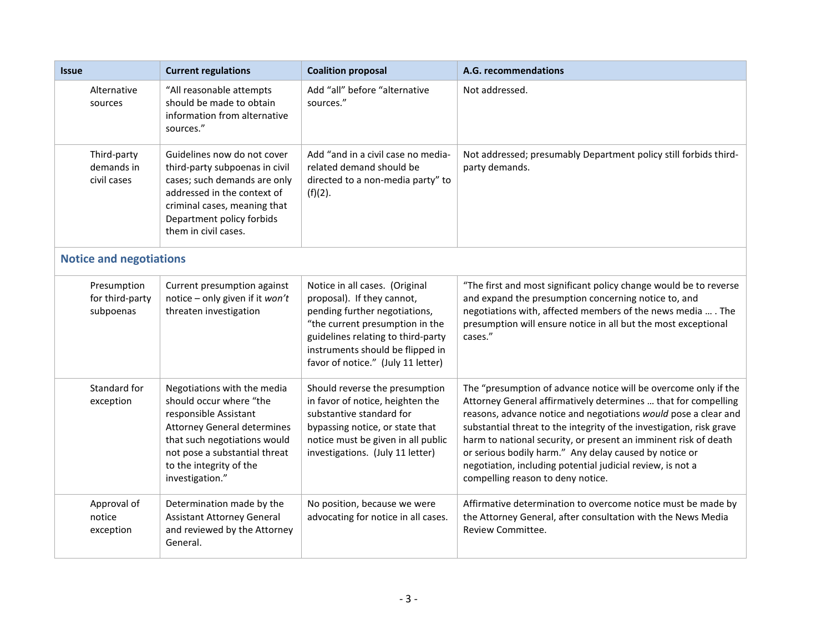| <b>Issue</b>                                | <b>Current regulations</b>                                                                                                                                                                                                           | <b>Coalition proposal</b>                                                                                                                                                                                                                        | A.G. recommendations                                                                                                                                                                                                                                                                                                                                                                                                                                                                                         |
|---------------------------------------------|--------------------------------------------------------------------------------------------------------------------------------------------------------------------------------------------------------------------------------------|--------------------------------------------------------------------------------------------------------------------------------------------------------------------------------------------------------------------------------------------------|--------------------------------------------------------------------------------------------------------------------------------------------------------------------------------------------------------------------------------------------------------------------------------------------------------------------------------------------------------------------------------------------------------------------------------------------------------------------------------------------------------------|
| Alternative<br>sources                      | "All reasonable attempts<br>should be made to obtain<br>information from alternative<br>sources."                                                                                                                                    | Add "all" before "alternative<br>sources."                                                                                                                                                                                                       | Not addressed.                                                                                                                                                                                                                                                                                                                                                                                                                                                                                               |
| Third-party<br>demands in<br>civil cases    | Guidelines now do not cover<br>third-party subpoenas in civil<br>cases; such demands are only<br>addressed in the context of<br>criminal cases, meaning that<br>Department policy forbids<br>them in civil cases.                    | Add "and in a civil case no media-<br>related demand should be<br>directed to a non-media party" to<br>$(f)(2)$ .                                                                                                                                | Not addressed; presumably Department policy still forbids third-<br>party demands.                                                                                                                                                                                                                                                                                                                                                                                                                           |
| <b>Notice and negotiations</b>              |                                                                                                                                                                                                                                      |                                                                                                                                                                                                                                                  |                                                                                                                                                                                                                                                                                                                                                                                                                                                                                                              |
| Presumption<br>for third-party<br>subpoenas | Current presumption against<br>notice - only given if it won't<br>threaten investigation                                                                                                                                             | Notice in all cases. (Original<br>proposal). If they cannot,<br>pending further negotiations,<br>"the current presumption in the<br>guidelines relating to third-party<br>instruments should be flipped in<br>favor of notice." (July 11 letter) | "The first and most significant policy change would be to reverse<br>and expand the presumption concerning notice to, and<br>negotiations with, affected members of the news media  . The<br>presumption will ensure notice in all but the most exceptional<br>cases."                                                                                                                                                                                                                                       |
| Standard for<br>exception                   | Negotiations with the media<br>should occur where "the<br>responsible Assistant<br><b>Attorney General determines</b><br>that such negotiations would<br>not pose a substantial threat<br>to the integrity of the<br>investigation." | Should reverse the presumption<br>in favor of notice, heighten the<br>substantive standard for<br>bypassing notice, or state that<br>notice must be given in all public<br>investigations. (July 11 letter)                                      | The "presumption of advance notice will be overcome only if the<br>Attorney General affirmatively determines  that for compelling<br>reasons, advance notice and negotiations would pose a clear and<br>substantial threat to the integrity of the investigation, risk grave<br>harm to national security, or present an imminent risk of death<br>or serious bodily harm." Any delay caused by notice or<br>negotiation, including potential judicial review, is not a<br>compelling reason to deny notice. |
| Approval of<br>notice<br>exception          | Determination made by the<br>Assistant Attorney General<br>and reviewed by the Attorney<br>General.                                                                                                                                  | No position, because we were<br>advocating for notice in all cases.                                                                                                                                                                              | Affirmative determination to overcome notice must be made by<br>the Attorney General, after consultation with the News Media<br>Review Committee.                                                                                                                                                                                                                                                                                                                                                            |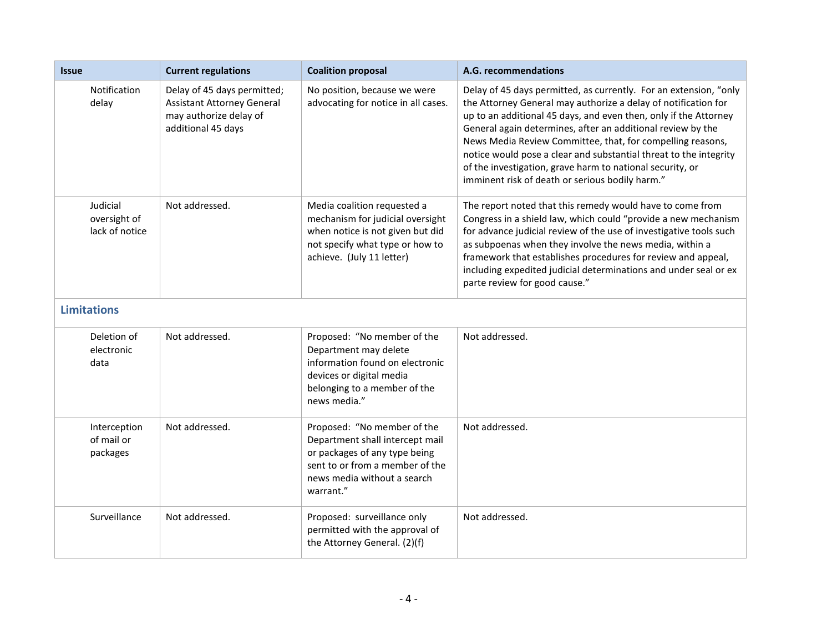| <b>Issue</b>                               | <b>Current regulations</b>                                                                                       | <b>Coalition proposal</b>                                                                                                                                                      | A.G. recommendations                                                                                                                                                                                                                                                                                                                                                                                                                                                                                                      |  |
|--------------------------------------------|------------------------------------------------------------------------------------------------------------------|--------------------------------------------------------------------------------------------------------------------------------------------------------------------------------|---------------------------------------------------------------------------------------------------------------------------------------------------------------------------------------------------------------------------------------------------------------------------------------------------------------------------------------------------------------------------------------------------------------------------------------------------------------------------------------------------------------------------|--|
| Notification<br>delay                      | Delay of 45 days permitted;<br><b>Assistant Attorney General</b><br>may authorize delay of<br>additional 45 days | No position, because we were<br>advocating for notice in all cases.                                                                                                            | Delay of 45 days permitted, as currently. For an extension, "only<br>the Attorney General may authorize a delay of notification for<br>up to an additional 45 days, and even then, only if the Attorney<br>General again determines, after an additional review by the<br>News Media Review Committee, that, for compelling reasons,<br>notice would pose a clear and substantial threat to the integrity<br>of the investigation, grave harm to national security, or<br>imminent risk of death or serious bodily harm." |  |
| Judicial<br>oversight of<br>lack of notice | Not addressed.                                                                                                   | Media coalition requested a<br>mechanism for judicial oversight<br>when notice is not given but did<br>not specify what type or how to<br>achieve. (July 11 letter)            | The report noted that this remedy would have to come from<br>Congress in a shield law, which could "provide a new mechanism<br>for advance judicial review of the use of investigative tools such<br>as subpoenas when they involve the news media, within a<br>framework that establishes procedures for review and appeal,<br>including expedited judicial determinations and under seal or ex<br>parte review for good cause."                                                                                         |  |
| <b>Limitations</b>                         |                                                                                                                  |                                                                                                                                                                                |                                                                                                                                                                                                                                                                                                                                                                                                                                                                                                                           |  |
| Deletion of<br>electronic<br>data          | Not addressed.                                                                                                   | Proposed: "No member of the<br>Department may delete<br>information found on electronic<br>devices or digital media<br>belonging to a member of the<br>news media."            | Not addressed.                                                                                                                                                                                                                                                                                                                                                                                                                                                                                                            |  |
| Interception<br>of mail or<br>packages     | Not addressed.                                                                                                   | Proposed: "No member of the<br>Department shall intercept mail<br>or packages of any type being<br>sent to or from a member of the<br>news media without a search<br>warrant." | Not addressed.                                                                                                                                                                                                                                                                                                                                                                                                                                                                                                            |  |
| Surveillance                               | Not addressed.                                                                                                   | Proposed: surveillance only<br>permitted with the approval of<br>the Attorney General. (2)(f)                                                                                  | Not addressed.                                                                                                                                                                                                                                                                                                                                                                                                                                                                                                            |  |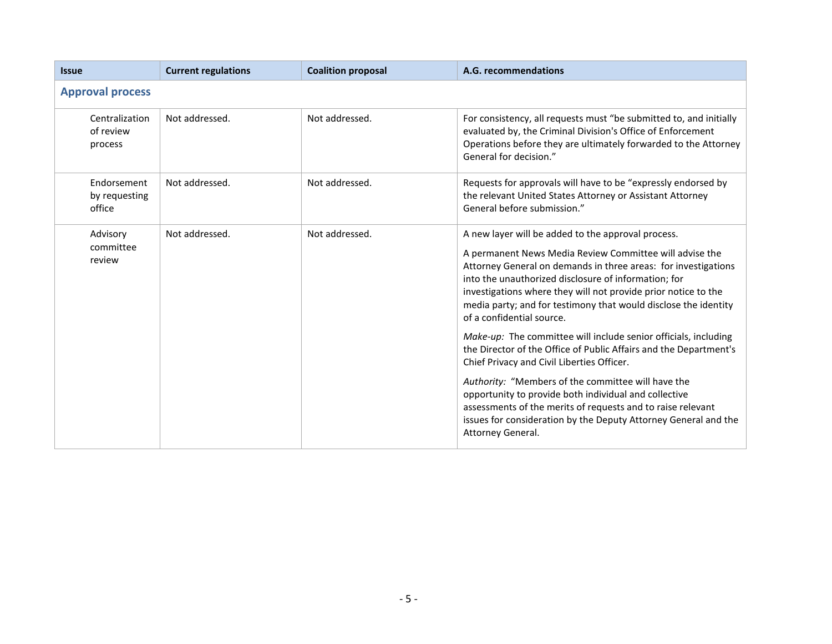| <b>Issue</b>                           | <b>Current regulations</b> | <b>Coalition proposal</b> | A.G. recommendations                                                                                                                                                                                                                                                                                                                                                                                      |  |
|----------------------------------------|----------------------------|---------------------------|-----------------------------------------------------------------------------------------------------------------------------------------------------------------------------------------------------------------------------------------------------------------------------------------------------------------------------------------------------------------------------------------------------------|--|
| <b>Approval process</b>                |                            |                           |                                                                                                                                                                                                                                                                                                                                                                                                           |  |
| Centralization<br>of review<br>process | Not addressed.             | Not addressed.            | For consistency, all requests must "be submitted to, and initially<br>evaluated by, the Criminal Division's Office of Enforcement<br>Operations before they are ultimately forwarded to the Attorney<br>General for decision."                                                                                                                                                                            |  |
| Endorsement<br>by requesting<br>office | Not addressed.             | Not addressed.            | Requests for approvals will have to be "expressly endorsed by<br>the relevant United States Attorney or Assistant Attorney<br>General before submission."                                                                                                                                                                                                                                                 |  |
| Advisory<br>committee<br>review        | Not addressed.             | Not addressed.            | A new layer will be added to the approval process.<br>A permanent News Media Review Committee will advise the<br>Attorney General on demands in three areas: for investigations<br>into the unauthorized disclosure of information; for<br>investigations where they will not provide prior notice to the<br>media party; and for testimony that would disclose the identity<br>of a confidential source. |  |
|                                        |                            |                           | Make-up: The committee will include senior officials, including<br>the Director of the Office of Public Affairs and the Department's<br>Chief Privacy and Civil Liberties Officer.                                                                                                                                                                                                                        |  |
|                                        |                            |                           | Authority: "Members of the committee will have the<br>opportunity to provide both individual and collective<br>assessments of the merits of requests and to raise relevant<br>issues for consideration by the Deputy Attorney General and the<br>Attorney General.                                                                                                                                        |  |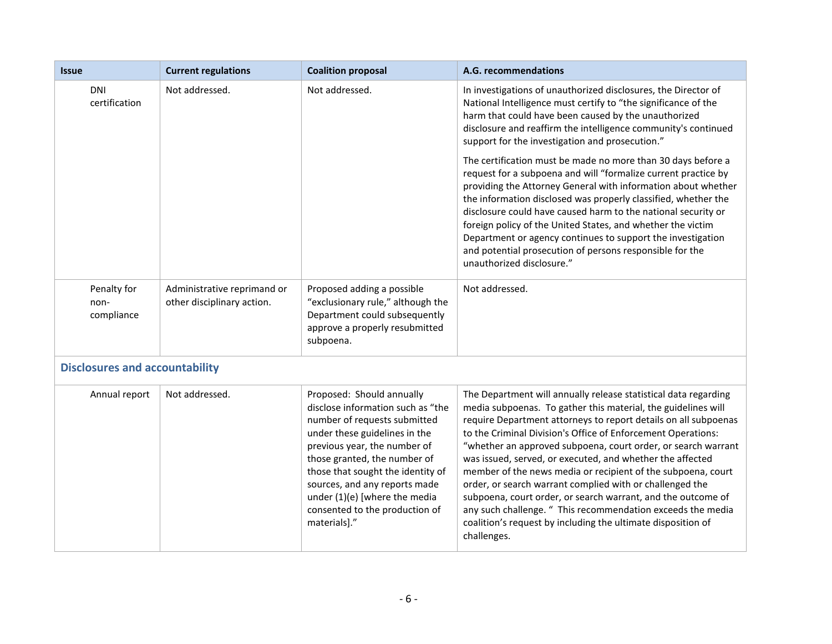| <b>Issue</b>                          | <b>Current regulations</b>                                | <b>Coalition proposal</b>                                                                                                                                                                                                                                                                                                                                | A.G. recommendations                                                                                                                                                                                                                                                                                                                                                                                                                                                                                                                                                                                                                                                                                                                        |  |
|---------------------------------------|-----------------------------------------------------------|----------------------------------------------------------------------------------------------------------------------------------------------------------------------------------------------------------------------------------------------------------------------------------------------------------------------------------------------------------|---------------------------------------------------------------------------------------------------------------------------------------------------------------------------------------------------------------------------------------------------------------------------------------------------------------------------------------------------------------------------------------------------------------------------------------------------------------------------------------------------------------------------------------------------------------------------------------------------------------------------------------------------------------------------------------------------------------------------------------------|--|
| <b>DNI</b><br>certification           | Not addressed.                                            | Not addressed.                                                                                                                                                                                                                                                                                                                                           | In investigations of unauthorized disclosures, the Director of<br>National Intelligence must certify to "the significance of the<br>harm that could have been caused by the unauthorized<br>disclosure and reaffirm the intelligence community's continued<br>support for the investigation and prosecution."                                                                                                                                                                                                                                                                                                                                                                                                                               |  |
|                                       |                                                           |                                                                                                                                                                                                                                                                                                                                                          | The certification must be made no more than 30 days before a<br>request for a subpoena and will "formalize current practice by<br>providing the Attorney General with information about whether<br>the information disclosed was properly classified, whether the<br>disclosure could have caused harm to the national security or<br>foreign policy of the United States, and whether the victim<br>Department or agency continues to support the investigation<br>and potential prosecution of persons responsible for the<br>unauthorized disclosure."                                                                                                                                                                                   |  |
| Penalty for<br>non-<br>compliance     | Administrative reprimand or<br>other disciplinary action. | Proposed adding a possible<br>"exclusionary rule," although the<br>Department could subsequently<br>approve a properly resubmitted<br>subpoena.                                                                                                                                                                                                          | Not addressed.                                                                                                                                                                                                                                                                                                                                                                                                                                                                                                                                                                                                                                                                                                                              |  |
| <b>Disclosures and accountability</b> |                                                           |                                                                                                                                                                                                                                                                                                                                                          |                                                                                                                                                                                                                                                                                                                                                                                                                                                                                                                                                                                                                                                                                                                                             |  |
| Annual report                         | Not addressed.                                            | Proposed: Should annually<br>disclose information such as "the<br>number of requests submitted<br>under these guidelines in the<br>previous year, the number of<br>those granted, the number of<br>those that sought the identity of<br>sources, and any reports made<br>under (1)(e) [where the media<br>consented to the production of<br>materials]." | The Department will annually release statistical data regarding<br>media subpoenas. To gather this material, the guidelines will<br>require Department attorneys to report details on all subpoenas<br>to the Criminal Division's Office of Enforcement Operations:<br>"whether an approved subpoena, court order, or search warrant<br>was issued, served, or executed, and whether the affected<br>member of the news media or recipient of the subpoena, court<br>order, or search warrant complied with or challenged the<br>subpoena, court order, or search warrant, and the outcome of<br>any such challenge. " This recommendation exceeds the media<br>coalition's request by including the ultimate disposition of<br>challenges. |  |